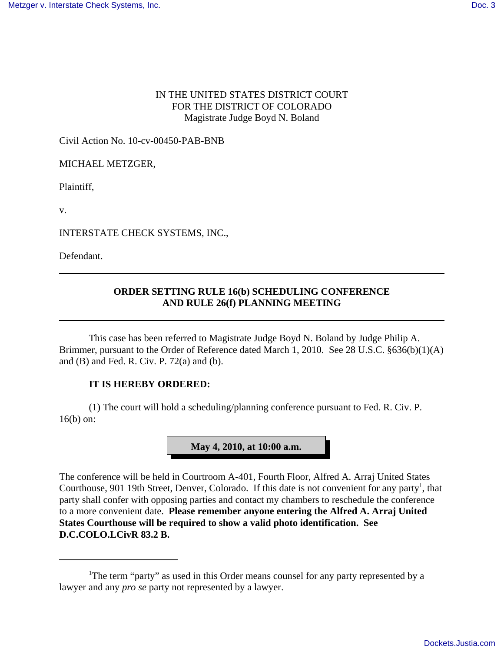## IN THE UNITED STATES DISTRICT COURT FOR THE DISTRICT OF COLORADO Magistrate Judge Boyd N. Boland

Civil Action No. 10-cv-00450-PAB-BNB

MICHAEL METZGER,

Plaintiff,

v.

INTERSTATE CHECK SYSTEMS, INC.,

Defendant.

## **ORDER SETTING RULE 16(b) SCHEDULING CONFERENCE AND RULE 26(f) PLANNING MEETING**

This case has been referred to Magistrate Judge Boyd N. Boland by Judge Philip A. Brimmer, pursuant to the Order of Reference dated March 1, 2010. See 28 U.S.C. §636(b)(1)(A) and (B) and Fed. R. Civ. P. 72(a) and (b).

## **IT IS HEREBY ORDERED:**

(1) The court will hold a scheduling/planning conference pursuant to Fed. R. Civ. P. 16(b) on:



The conference will be held in Courtroom A-401, Fourth Floor, Alfred A. Arraj United States Courthouse, 901 19th Street, Denver, Colorado. If this date is not convenient for any party<sup>1</sup>, that party shall confer with opposing parties and contact my chambers to reschedule the conference to a more convenient date. **Please remember anyone entering the Alfred A. Arraj United States Courthouse will be required to show a valid photo identification. See D.C.COLO.LCivR 83.2 B.**

<sup>&</sup>lt;sup>1</sup>The term "party" as used in this Order means counsel for any party represented by a lawyer and any *pro se* party not represented by a lawyer.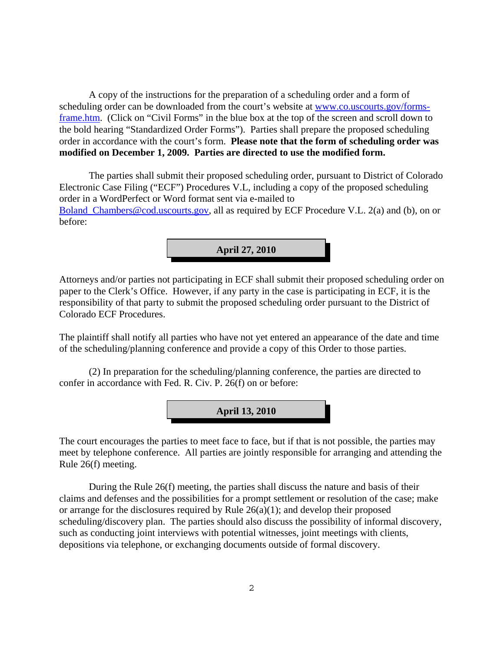A copy of the instructions for the preparation of a scheduling order and a form of scheduling order can be downloaded from the court's website at www.co.uscourts.gov/formsframe.htm. (Click on "Civil Forms" in the blue box at the top of the screen and scroll down to the bold hearing "Standardized Order Forms"). Parties shall prepare the proposed scheduling order in accordance with the court's form. **Please note that the form of scheduling order was modified on December 1, 2009. Parties are directed to use the modified form.**

The parties shall submit their proposed scheduling order, pursuant to District of Colorado Electronic Case Filing ("ECF") Procedures V.L, including a copy of the proposed scheduling order in a WordPerfect or Word format sent via e-mailed to Boland Chambers@cod.uscourts.gov, all as required by ECF Procedure V.L. 2(a) and (b), on or before:

**April 27, 2010**

Attorneys and/or parties not participating in ECF shall submit their proposed scheduling order on paper to the Clerk's Office. However, if any party in the case is participating in ECF, it is the responsibility of that party to submit the proposed scheduling order pursuant to the District of Colorado ECF Procedures.

The plaintiff shall notify all parties who have not yet entered an appearance of the date and time of the scheduling/planning conference and provide a copy of this Order to those parties.

(2) In preparation for the scheduling/planning conference, the parties are directed to confer in accordance with Fed. R. Civ. P. 26(f) on or before:



The court encourages the parties to meet face to face, but if that is not possible, the parties may meet by telephone conference. All parties are jointly responsible for arranging and attending the Rule 26(f) meeting.

During the Rule 26(f) meeting, the parties shall discuss the nature and basis of their claims and defenses and the possibilities for a prompt settlement or resolution of the case; make or arrange for the disclosures required by Rule 26(a)(1); and develop their proposed scheduling/discovery plan. The parties should also discuss the possibility of informal discovery, such as conducting joint interviews with potential witnesses, joint meetings with clients, depositions via telephone, or exchanging documents outside of formal discovery.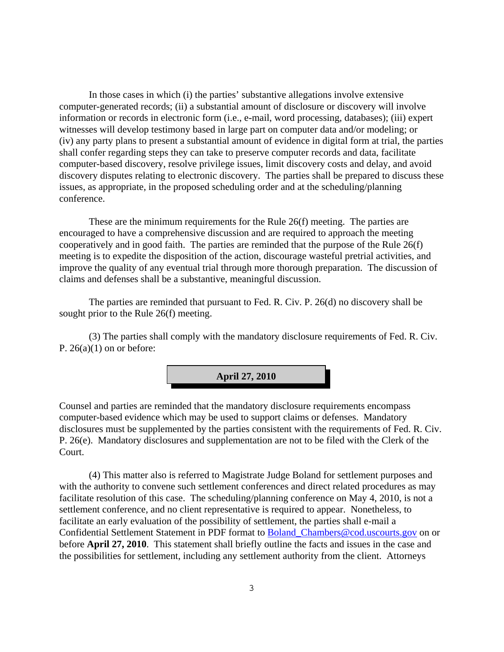In those cases in which (i) the parties' substantive allegations involve extensive computer-generated records; (ii) a substantial amount of disclosure or discovery will involve information or records in electronic form (i.e., e-mail, word processing, databases); (iii) expert witnesses will develop testimony based in large part on computer data and/or modeling; or (iv) any party plans to present a substantial amount of evidence in digital form at trial, the parties shall confer regarding steps they can take to preserve computer records and data, facilitate computer-based discovery, resolve privilege issues, limit discovery costs and delay, and avoid discovery disputes relating to electronic discovery. The parties shall be prepared to discuss these issues, as appropriate, in the proposed scheduling order and at the scheduling/planning conference.

These are the minimum requirements for the Rule 26(f) meeting. The parties are encouraged to have a comprehensive discussion and are required to approach the meeting cooperatively and in good faith. The parties are reminded that the purpose of the Rule 26(f) meeting is to expedite the disposition of the action, discourage wasteful pretrial activities, and improve the quality of any eventual trial through more thorough preparation. The discussion of claims and defenses shall be a substantive, meaningful discussion.

The parties are reminded that pursuant to Fed. R. Civ. P. 26(d) no discovery shall be sought prior to the Rule 26(f) meeting.

(3) The parties shall comply with the mandatory disclosure requirements of Fed. R. Civ. P.  $26(a)(1)$  on or before:



Counsel and parties are reminded that the mandatory disclosure requirements encompass computer-based evidence which may be used to support claims or defenses. Mandatory disclosures must be supplemented by the parties consistent with the requirements of Fed. R. Civ. P. 26(e). Mandatory disclosures and supplementation are not to be filed with the Clerk of the Court.

(4) This matter also is referred to Magistrate Judge Boland for settlement purposes and with the authority to convene such settlement conferences and direct related procedures as may facilitate resolution of this case. The scheduling/planning conference on May 4, 2010, is not a settlement conference, and no client representative is required to appear. Nonetheless, to facilitate an early evaluation of the possibility of settlement, the parties shall e-mail a Confidential Settlement Statement in PDF format to Boland\_Chambers@cod.uscourts.gov on or before **April 27, 2010**. This statement shall briefly outline the facts and issues in the case and the possibilities for settlement, including any settlement authority from the client. Attorneys